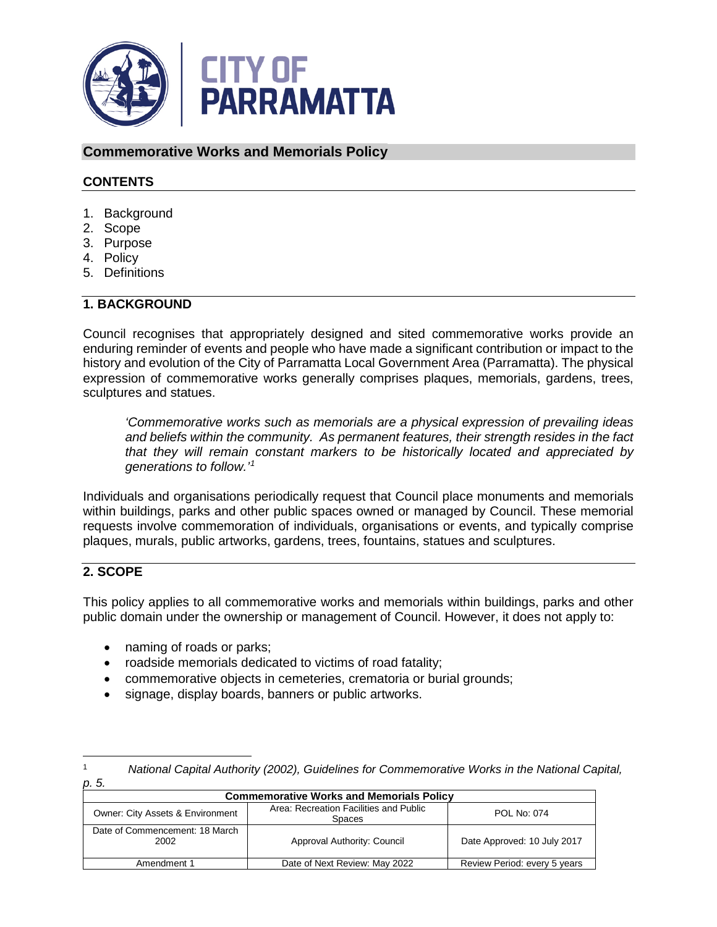

## **Commemorative Works and Memorials Policy**

#### **CONTENTS**

- 1. Background
- 2. Scope
- 3. Purpose
- 4. Policy
- 5. Definitions

#### **1. BACKGROUND**

Council recognises that appropriately designed and sited commemorative works provide an enduring reminder of events and people who have made a significant contribution or impact to the history and evolution of the City of Parramatta Local Government Area (Parramatta). The physical expression of commemorative works generally comprises plaques, memorials, gardens, trees, sculptures and statues.

*'Commemorative works such as memorials are a physical expression of prevailing ideas and beliefs within the community. As permanent features, their strength resides in the fact that they will remain constant markers to be historically located and appreciated by generations to follow.'[1](#page-0-0)*

Individuals and organisations periodically request that Council place monuments and memorials within buildings, parks and other public spaces owned or managed by Council. These memorial requests involve commemoration of individuals, organisations or events, and typically comprise plaques, murals, public artworks, gardens, trees, fountains, statues and sculptures.

#### **2. SCOPE**

This policy applies to all commemorative works and memorials within buildings, parks and other public domain under the ownership or management of Council. However, it does not apply to:

- naming of roads or parks;
- roadside memorials dedicated to victims of road fatality;
- commemorative objects in cemeteries, crematoria or burial grounds;
- signage, display boards, banners or public artworks.

| ٠<br>۰.<br>× | ۰.<br>۰.<br><br>× |
|--------------|-------------------|
|              |                   |

 $\overline{a}$ 

<span id="page-0-0"></span><sup>1</sup> *National Capital Authority (2002), Guidelines for Commemorative Works in the National Capital,* 

| <b>Commemorative Works and Memorials Policy</b> |                                                         |                              |  |  |
|-------------------------------------------------|---------------------------------------------------------|------------------------------|--|--|
| Owner: City Assets & Environment                | Area: Recreation Facilities and Public<br><b>Spaces</b> | POL No: 074                  |  |  |
| Date of Commencement: 18 March<br>2002          | Approval Authority: Council                             | Date Approved: 10 July 2017  |  |  |
| Amendment 1                                     | Date of Next Review: May 2022                           | Review Period: every 5 years |  |  |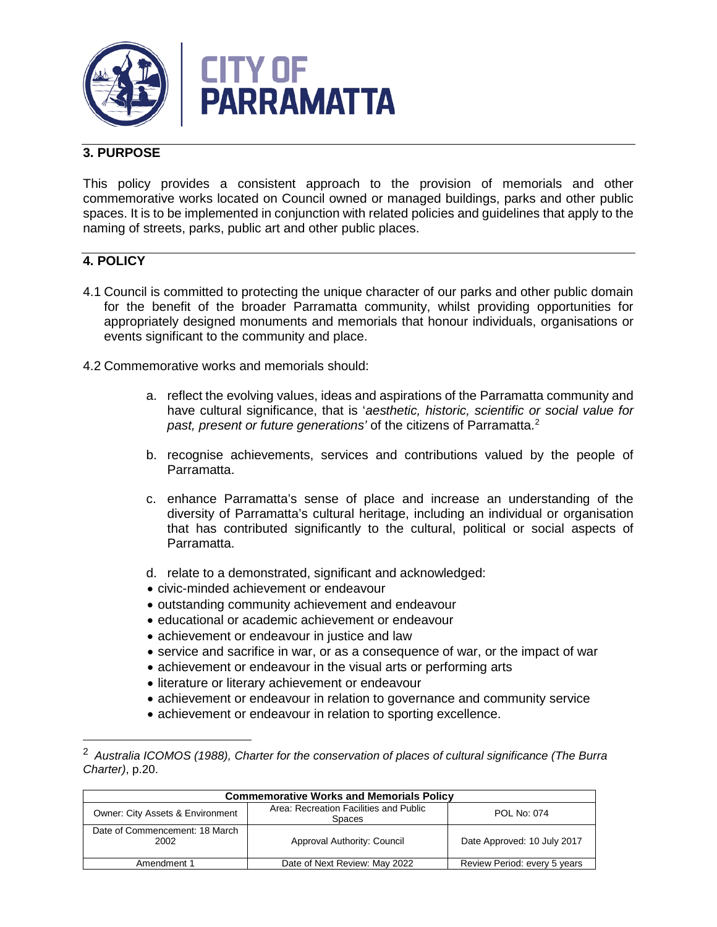



# **3. PURPOSE**

This policy provides a consistent approach to the provision of memorials and other commemorative works located on Council owned or managed buildings, parks and other public spaces. It is to be implemented in conjunction with related policies and guidelines that apply to the naming of streets, parks, public art and other public places.

## **4. POLICY**

 $\overline{a}$ 

- 4.1 Council is committed to protecting the unique character of our parks and other public domain for the benefit of the broader Parramatta community, whilst providing opportunities for appropriately designed monuments and memorials that honour individuals, organisations or events significant to the community and place.
- 4.2 Commemorative works and memorials should:
	- a. reflect the evolving values, ideas and aspirations of the Parramatta community and have cultural significance, that is '*aesthetic, historic, scientific or social value for past, present or future generations'* of the citizens of Parramatta.[2](#page-1-0)
	- b. recognise achievements, services and contributions valued by the people of Parramatta.
	- c. enhance Parramatta's sense of place and increase an understanding of the diversity of Parramatta's cultural heritage, including an individual or organisation that has contributed significantly to the cultural, political or social aspects of Parramatta.
	- d. relate to a demonstrated, significant and acknowledged:
	- civic-minded achievement or endeavour
	- outstanding community achievement and endeavour
	- educational or academic achievement or endeavour
	- achievement or endeavour in justice and law
	- service and sacrifice in war, or as a consequence of war, or the impact of war
	- achievement or endeavour in the visual arts or performing arts
	- literature or literary achievement or endeavour
	- achievement or endeavour in relation to governance and community service
	- achievement or endeavour in relation to sporting excellence.

<span id="page-1-0"></span><sup>2</sup> *Australia ICOMOS (1988), Charter for the conservation of places of cultural significance (The Burra Charter)*, p.20.

| <b>Commemorative Works and Memorials Policy</b> |                                                         |                              |  |  |
|-------------------------------------------------|---------------------------------------------------------|------------------------------|--|--|
| <b>Owner: City Assets &amp; Environment</b>     | Area: Recreation Facilities and Public<br><b>Spaces</b> | POL No: 074                  |  |  |
| Date of Commencement: 18 March<br>2002          | Approval Authority: Council                             | Date Approved: 10 July 2017  |  |  |
| Amendment 1                                     | Date of Next Review: May 2022                           | Review Period: every 5 years |  |  |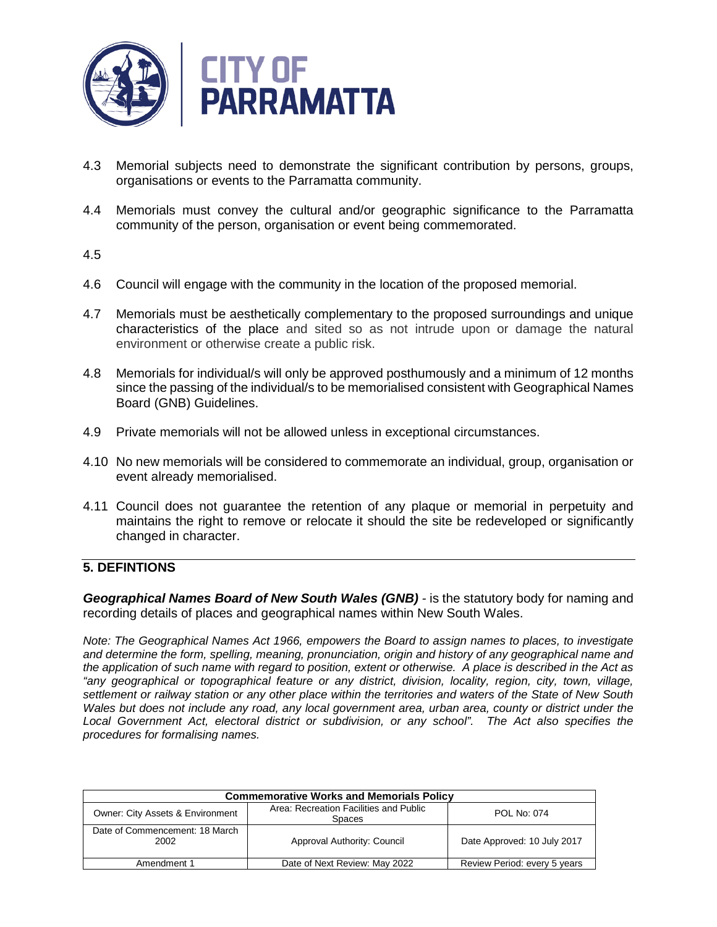

- 4.3 Memorial subjects need to demonstrate the significant contribution by persons, groups, organisations or events to the Parramatta community.
- 4.4 Memorials must convey the cultural and/or geographic significance to the Parramatta community of the person, organisation or event being commemorated.

4.5

- 4.6 Council will engage with the community in the location of the proposed memorial.
- 4.7 Memorials must be aesthetically complementary to the proposed surroundings and unique characteristics of the place and sited so as not intrude upon or damage the natural environment or otherwise create a public risk.
- 4.8 Memorials for individual/s will only be approved posthumously and a minimum of 12 months since the passing of the individual/s to be memorialised consistent with Geographical Names Board (GNB) Guidelines.
- 4.9 Private memorials will not be allowed unless in exceptional circumstances.
- 4.10 No new memorials will be considered to commemorate an individual, group, organisation or event already memorialised.
- 4.11 Council does not guarantee the retention of any plaque or memorial in perpetuity and maintains the right to remove or relocate it should the site be redeveloped or significantly changed in character.

### **5. DEFINTIONS**

**Geographical Names Board of New South Wales (GNB)** - is the statutory body for naming and recording details of places and geographical names within New South Wales.

*Note: The Geographical Names Act 1966, empowers the Board to assign names to places, to investigate and determine the form, spelling, meaning, pronunciation, origin and history of any geographical name and the application of such name with regard to position, extent or otherwise. A place is described in the Act as "any geographical or topographical feature or any district, division, locality, region, city, town, village, settlement or railway station or any other place within the territories and waters of the State of New South Wales but does not include any road, any local government area, urban area, county or district under the Local Government Act, electoral district or subdivision, or any school". The Act also specifies the procedures for formalising names.*

| <b>Commemorative Works and Memorials Policy</b> |                                                         |                              |  |  |
|-------------------------------------------------|---------------------------------------------------------|------------------------------|--|--|
| Owner: City Assets & Environment                | Area: Recreation Facilities and Public<br><b>Spaces</b> | POL No: 074                  |  |  |
| Date of Commencement: 18 March<br>2002          | Approval Authority: Council                             | Date Approved: 10 July 2017  |  |  |
| Amendment 1                                     | Date of Next Review: May 2022                           | Review Period: every 5 years |  |  |